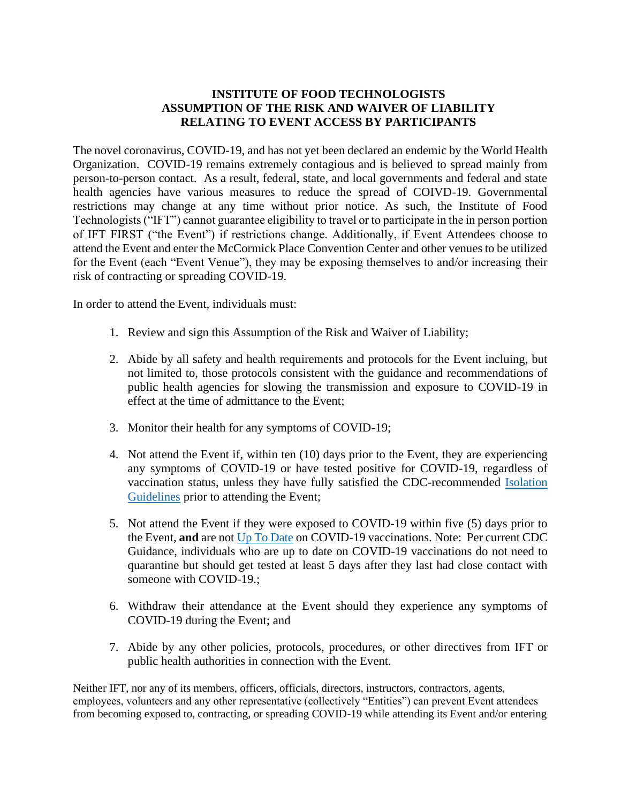## **INSTITUTE OF FOOD TECHNOLOGISTS ASSUMPTION OF THE RISK AND WAIVER OF LIABILITY RELATING TO EVENT ACCESS BY PARTICIPANTS**

The novel coronavirus, COVID-19, and has not yet been declared an endemic by the World Health Organization. COVID-19 remains extremely contagious and is believed to spread mainly from person-to-person contact. As a result, federal, state, and local governments and federal and state health agencies have various measures to reduce the spread of COIVD-19. Governmental restrictions may change at any time without prior notice. As such, the Institute of Food Technologists ("IFT") cannot guarantee eligibility to travel or to participate in the in person portion of IFT FIRST ("the Event") if restrictions change. Additionally, if Event Attendees choose to attend the Event and enter the McCormick Place Convention Center and other venues to be utilized for the Event (each "Event Venue"), they may be exposing themselves to and/or increasing their risk of contracting or spreading COVID-19.

In order to attend the Event, individuals must:

- 1. Review and sign this Assumption of the Risk and Waiver of Liability;
- 2. Abide by all safety and health requirements and protocols for the Event incluing, but not limited to, those protocols consistent with the guidance and recommendations of public health agencies for slowing the transmission and exposure to COVID-19 in effect at the time of admittance to the Event;
- 3. Monitor their health for any symptoms of COVID-19;
- 4. Not attend the Event if, within ten (10) days prior to the Event, they are experiencing any symptoms of COVID-19 or have tested positive for COVID-19, regardless of vaccination status, unless they have fully satisfied the CDC-recommended [Isolation](https://www.cdc.gov/coronavirus/2019-ncov/your-health/quarantine-isolation.html)  [Guidelines](https://www.cdc.gov/coronavirus/2019-ncov/your-health/quarantine-isolation.html) prior to attending the Event;
- 5. Not attend the Event if they were exposed to COVID-19 within five (5) days prior to the Event, **and** are no[t Up To Date](https://www.cdc.gov/coronavirus/2019-ncov/vaccines/stay-up-to-date.html) on COVID-19 vaccinations. Note: Per current CDC Guidance, individuals who are up to date on COVID-19 vaccinations do not need to quarantine but should get tested at least 5 days after they last had close contact with someone with COVID-19.;
- 6. Withdraw their attendance at the Event should they experience any symptoms of COVID-19 during the Event; and
- 7. Abide by any other policies, protocols, procedures, or other directives from IFT or public health authorities in connection with the Event.

Neither IFT, nor any of its members, officers, officials, directors, instructors, contractors, agents, employees, volunteers and any other representative (collectively "Entities") can prevent Event attendees from becoming exposed to, contracting, or spreading COVID-19 while attending its Event and/or entering